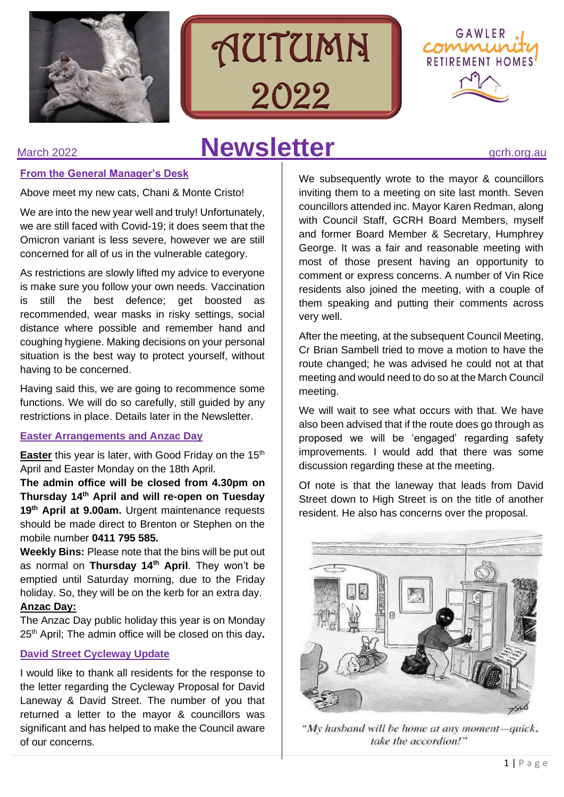





# March 2022 **Newsletter** *gcrh.org.au*

# **From the General Manager's Desk**

Above meet my new cats, Chani & Monte Cristo!

We are into the new year well and truly! Unfortunately, we are still faced with Covid-19; it does seem that the Omicron variant is less severe, however we are still concerned for all of us in the vulnerable category.

As restrictions are slowly lifted my advice to everyone is make sure you follow your own needs. Vaccination is still the best defence; get boosted as recommended, wear masks in risky settings, social distance where possible and remember hand and coughing hygiene. Making decisions on your personal situation is the best way to protect yourself, without having to be concerned.

Having said this, we are going to recommence some functions. We will do so carefully, still guided by any restrictions in place. Details later in the Newsletter.

# **Easter Arrangements and Anzac Day**

**Easter** this year is later, with Good Friday on the 15<sup>th</sup> April and Easter Monday on the 18th April.

**The admin office will be closed from 4.30pm on Thursday 14 th April and will re-open on Tuesday 19th April at 9.00am.** Urgent maintenance requests should be made direct to Brenton or Stephen on the mobile number **0411 795 585.**

**Weekly Bins:** Please note that the bins will be put out as normal on **Thursday 14th April**. They won't be emptied until Saturday morning, due to the Friday holiday. So, they will be on the kerb for an extra day.

# **Anzac Day:**

The Anzac Day public holiday this year is on Monday 25 th April; The admin office will be closed on this day**.**

# **David Street Cycleway Update**

I would like to thank all residents for the response to the letter regarding the Cycleway Proposal for David Laneway & David Street. The number of you that returned a letter to the mayor & councillors was significant and has helped to make the Council aware of our concerns.

We subsequently wrote to the mayor & councillors inviting them to a meeting on site last month. Seven councillors attended inc. Mayor Karen Redman, along with Council Staff, GCRH Board Members, myself and former Board Member & Secretary, Humphrey George. It was a fair and reasonable meeting with most of those present having an opportunity to comment or express concerns. A number of Vin Rice residents also joined the meeting, with a couple of them speaking and putting their comments across very well.

After the meeting, at the subsequent Council Meeting, Cr Brian Sambell tried to move a motion to have the route changed; he was advised he could not at that meeting and would need to do so at the March Council meeting.

We will wait to see what occurs with that. We have also been advised that if the route does go through as proposed we will be 'engaged' regarding safety improvements. I would add that there was some discussion regarding these at the meeting.

Of note is that the laneway that leads from David Street down to High Street is on the title of another resident. He also has concerns over the proposal.



"My husband will be home at any moment-quick, take the accordion!"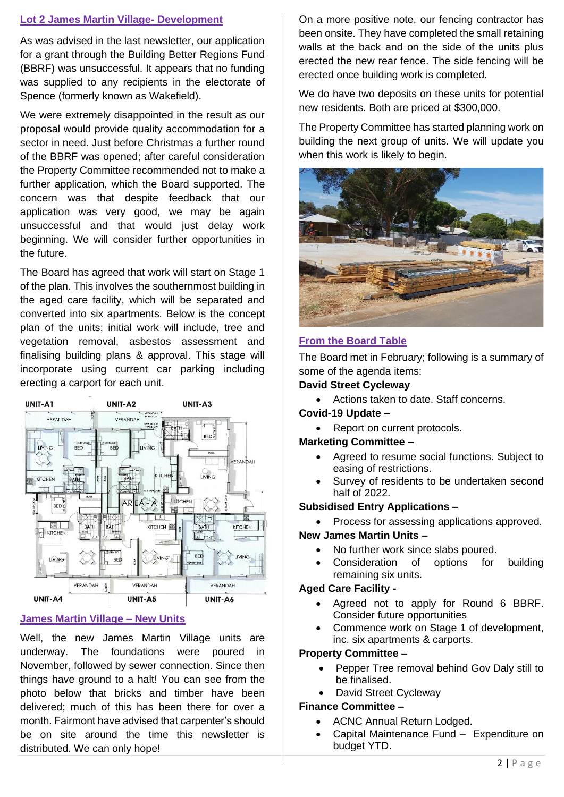# **Lot 2 James Martin Village- Development**

As was advised in the last newsletter, our application for a grant through the Building Better Regions Fund (BBRF) was unsuccessful. It appears that no funding was supplied to any recipients in the electorate of Spence (formerly known as Wakefield).

We were extremely disappointed in the result as our proposal would provide quality accommodation for a sector in need. Just before Christmas a further round of the BBRF was opened; after careful consideration the Property Committee recommended not to make a further application, which the Board supported. The concern was that despite feedback that our application was very good, we may be again unsuccessful and that would just delay work beginning. We will consider further opportunities in the future.

The Board has agreed that work will start on Stage 1 of the plan. This involves the southernmost building in the aged care facility, which will be separated and converted into six apartments. Below is the concept plan of the units; initial work will include, tree and vegetation removal, asbestos assessment and finalising building plans & approval. This stage will incorporate using current car parking including erecting a carport for each unit.



# **James Martin Village – New Units**

Well, the new James Martin Village units are underway. The foundations were poured in November, followed by sewer connection. Since then things have ground to a halt! You can see from the photo below that bricks and timber have been delivered; much of this has been there for over a month. Fairmont have advised that carpenter's should be on site around the time this newsletter is distributed. We can only hope!

On a more positive note, our fencing contractor has been onsite. They have completed the small retaining walls at the back and on the side of the units plus erected the new rear fence. The side fencing will be erected once building work is completed.

We do have two deposits on these units for potential new residents. Both are priced at \$300,000.

The Property Committee has started planning work on building the next group of units. We will update you when this work is likely to begin.



#### **From the Board Table**

The Board met in February; following is a summary of some of the agenda items:

#### **David Street Cycleway**

- Actions taken to date. Staff concerns.
- **Covid-19 Update –**
	- Report on current protocols.

#### **Marketing Committee –**

- Agreed to resume social functions. Subject to easing of restrictions.
- Survey of residents to be undertaken second half of 2022.

#### **Subsidised Entry Applications –**

• Process for assessing applications approved.

#### **New James Martin Units –**

- No further work since slabs poured.
- Consideration of options for building remaining six units.

#### **Aged Care Facility -**

- Agreed not to apply for Round 6 BBRF. Consider future opportunities
- Commence work on Stage 1 of development, inc. six apartments & carports.

# **Property Committee –**

- Pepper Tree removal behind Gov Daly still to be finalised.
- David Street Cycleway

#### **Finance Committee –**

- ACNC Annual Return Lodged.
- Capital Maintenance Fund Expenditure on budget YTD.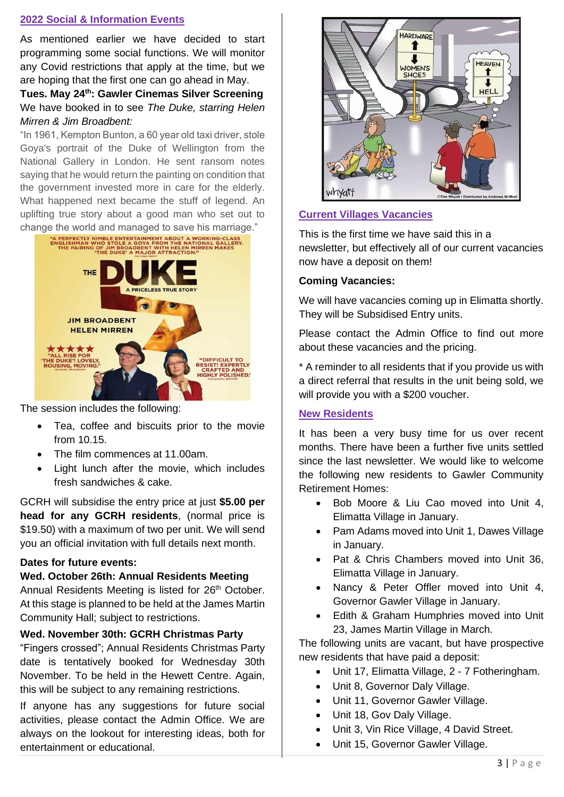# **2022 Social & Information Events**

As mentioned earlier we have decided to start programming some social functions. We will monitor any Covid restrictions that apply at the time, but we are hoping that the first one can go ahead in May.

**Tues. May 24th: Gawler Cinemas Silver Screening** We have booked in to see *The Duke, starring Helen Mirren & Jim Broadbent:*

"In 1961, Kempton Bunton, a 60 year old taxi driver, stole Goya's portrait of the Duke of Wellington from the National Gallery in London. He sent ransom notes saying that he would return the painting on condition that the government invested more in care for the elderly. What happened next became the stuff of legend. An uplifting true story about a good man who set out to



The session includes the following:

- Tea, coffee and biscuits prior to the movie from 10.15.
- The film commences at 11.00am.
- Light lunch after the movie, which includes fresh sandwiches & cake.

GCRH will subsidise the entry price at just **\$5.00 per head for any GCRH residents**, (normal price is \$19.50) with a maximum of two per unit. We will send you an official invitation with full details next month.

#### **Dates for future events:**

#### **Wed. October 26th: Annual Residents Meeting**

Annual Residents Meeting is listed for 26<sup>th</sup> October. At this stage is planned to be held at the James Martin Community Hall; subject to restrictions.

#### **Wed. November 30th: GCRH Christmas Party**

"Fingers crossed"; Annual Residents Christmas Party date is tentatively booked for Wednesday 30th November. To be held in the Hewett Centre. Again, this will be subject to any remaining restrictions.

If anyone has any suggestions for future social activities, please contact the Admin Office. We are always on the lookout for interesting ideas, both for entertainment or educational.



# **Current Villages Vacancies**

This is the first time we have said this in a newsletter, but effectively all of our current vacancies now have a deposit on them!

#### **Coming Vacancies:**

We will have vacancies coming up in Elimatta shortly. They will be Subsidised Entry units.

Please contact the Admin Office to find out more about these vacancies and the pricing.

\* A reminder to all residents that if you provide us with a direct referral that results in the unit being sold, we will provide you with a \$200 voucher.

#### **New Residents**

It has been a very busy time for us over recent months. There have been a further five units settled since the last newsletter. We would like to welcome the following new residents to Gawler Community Retirement Homes:

- Bob Moore & Liu Cao moved into Unit 4, Elimatta Village in January.
- Pam Adams moved into Unit 1, Dawes Village in January.
- Pat & Chris Chambers moved into Unit 36, Elimatta Village in January.
- Nancy & Peter Offler moved into Unit 4, Governor Gawler Village in January.
- Edith & Graham Humphries moved into Unit 23, James Martin Village in March.

The following units are vacant, but have prospective new residents that have paid a deposit:

- Unit 17, Elimatta Village, 2 7 Fotheringham.
- Unit 8, Governor Daly Village.
- Unit 11, Governor Gawler Village.
- Unit 18, Gov Daly Village.
- Unit 3, Vin Rice Village, 4 David Street.
- Unit 15, Governor Gawler Village.